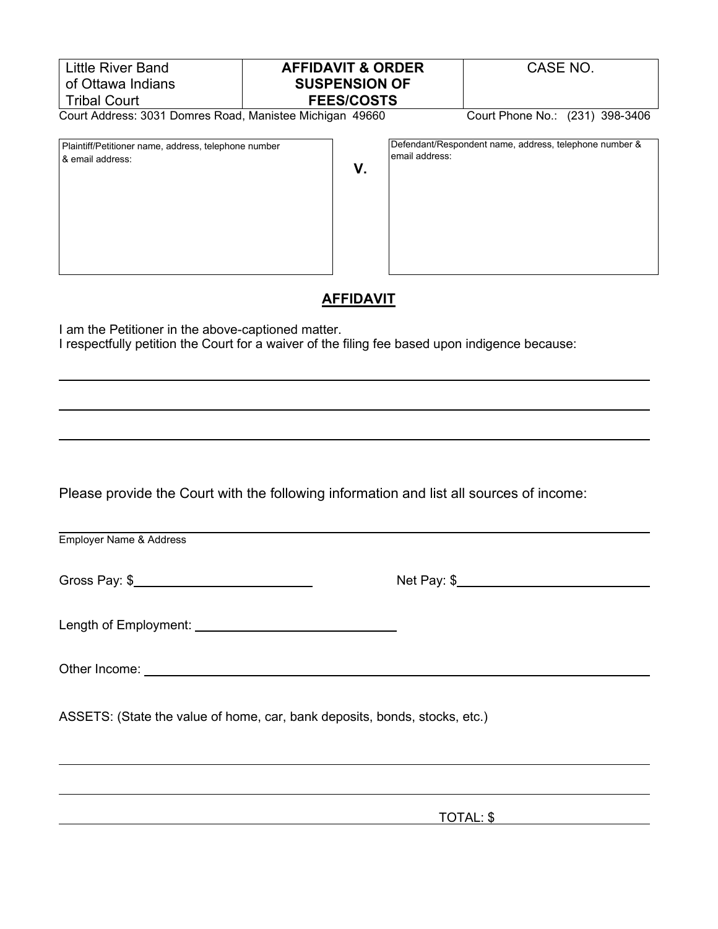| <b>Little River Band</b>                                                                                                                             | <b>AFFIDAVIT &amp; ORDER</b> |                | CASE NO.                                               |  |
|------------------------------------------------------------------------------------------------------------------------------------------------------|------------------------------|----------------|--------------------------------------------------------|--|
| of Ottawa Indians                                                                                                                                    | <b>SUSPENSION OF</b>         |                |                                                        |  |
| <b>Tribal Court</b>                                                                                                                                  | <b>FEES/COSTS</b>            |                |                                                        |  |
| Court Address: 3031 Domres Road, Manistee Michigan 49660                                                                                             |                              |                | Court Phone No.: (231) 398-3406                        |  |
| Plaintiff/Petitioner name, address, telephone number<br>& email address:                                                                             | V.                           | email address: | Defendant/Respondent name, address, telephone number & |  |
| I am the Petitioner in the above-captioned matter.<br>I respectfully petition the Court for a waiver of the filing fee based upon indigence because: | <b>AFFIDAVIT</b>             |                |                                                        |  |
|                                                                                                                                                      |                              |                |                                                        |  |
|                                                                                                                                                      |                              |                |                                                        |  |
|                                                                                                                                                      |                              |                |                                                        |  |

Please provide the Court with the following information and list all sources of income:

Employer Name & Address

Gross Pay: \$ Net Pay: \$

Length of Employment:

Other Income:

ASSETS: (State the value of home, car, bank deposits, bonds, stocks, etc.)

TOTAL: \$